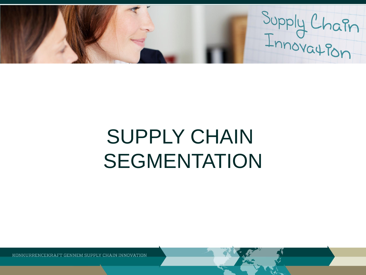Supply Chain

# SUPPLY CHAIN SEGMENTATION

KONKURRENCEKRAFT GENNEM SUPPLY CHAIN INNOVATION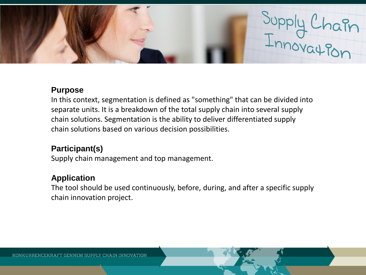

## **Purpose**

In this context, segmentation is defined as "something" that can be divided into separate units. It is a breakdown of the total supply chain into several supply chain solutions. Segmentation is the ability to deliver differentiated supply chain solutions based on various decision possibilities.

# **Participant(s)**

Supply chain management and top management.

## **Application**

The tool should be used continuously, before, during, and after a specific supply chain innovation project.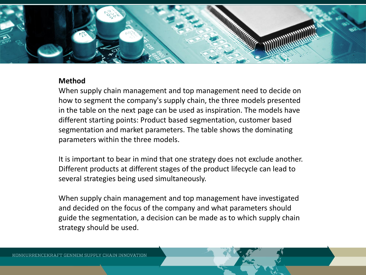

## **Method**

When supply chain management and top management need to decide on how to segment the company's supply chain, the three models presented in the table on the next page can be used as inspiration. The models have different starting points: Product based segmentation, customer based segmentation and market parameters. The table shows the dominating parameters within the three models.

It is important to bear in mind that one strategy does not exclude another. Different products at different stages of the product lifecycle can lead to several strategies being used simultaneously.

When supply chain management and top management have investigated and decided on the focus of the company and what parameters should guide the segmentation, a decision can be made as to which supply chain strategy should be used.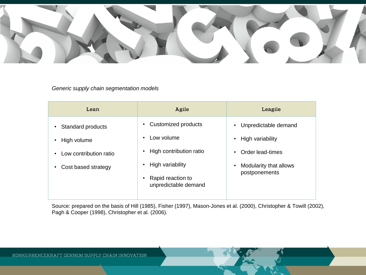

#### *Generic supply chain segmentation models*

| Lean                                                                                                                       | Agile                                                                                                                                                                                          | Leagile                                                                                                                                        |
|----------------------------------------------------------------------------------------------------------------------------|------------------------------------------------------------------------------------------------------------------------------------------------------------------------------------------------|------------------------------------------------------------------------------------------------------------------------------------------------|
| Standard products<br>$\bullet$<br>• High volume<br>Low contribution ratio<br>$\bullet$<br>Cost based strategy<br>$\bullet$ | Customized products<br>$\bullet$<br>Low volume<br>$\bullet$<br>High contribution ratio<br>$\bullet$<br>High variability<br>$\bullet$<br>Rapid reaction to<br>$\bullet$<br>unpredictable demand | Unpredictable demand<br>$\bullet$<br>High variability<br>$\bullet$<br>Order lead-times<br>Modularity that allows<br>$\bullet$<br>postponements |

Source: prepared on the basis of Hill (1985), Fisher (1997), Mason-Jones et al. (2000), Christopher & Towill (2002), Pagh & Cooper (1998), Christopher et al. (2006).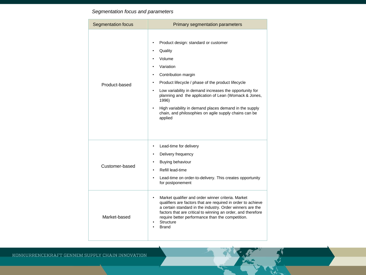### *Segmentation focus and parameters*

| <b>Segmentation focus</b> | <b>Primary segmentation parameters</b>                                                                                                                                                                                                                                                                                                                                                                                                                                                       |  |
|---------------------------|----------------------------------------------------------------------------------------------------------------------------------------------------------------------------------------------------------------------------------------------------------------------------------------------------------------------------------------------------------------------------------------------------------------------------------------------------------------------------------------------|--|
| Product-based             | Product design: standard or customer<br>$\bullet$<br>Quality<br>$\bullet$<br>Volume<br>Variation<br>Contribution margin<br>$\bullet$<br>Product lifecycle / phase of the product lifecycle<br>$\bullet$<br>Low variability in demand increases the opportunity for<br>$\bullet$<br>planning and the application of Lean (Womack & Jones,<br>1996)<br>High variability in demand places demand in the supply<br>$\bullet$<br>chain, and philosophies on agile supply chains can be<br>applied |  |
| Customer-based            | Lead-time for delivery<br>$\bullet$<br>Delivery frequency<br>$\bullet$<br>Buying behaviour<br>$\bullet$<br>Refill lead-time<br>Lead-time on order-to-delivery. This creates opportunity<br>$\bullet$<br>for postponement                                                                                                                                                                                                                                                                     |  |
| Market-based              | Market qualifier and order winner criteria. Market<br>$\bullet$<br>qualifiers are factors that are required in order to achieve<br>a certain standard in the industry. Order winners are the<br>factors that are critical to winning an order, and therefore<br>require better performance than the competition.<br><b>Structure</b><br><b>Brand</b>                                                                                                                                         |  |